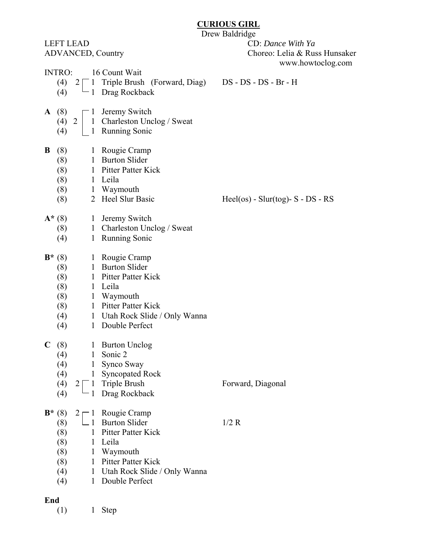## **CURIOUS GIRL**

Drew Baldridge

LEFT LEAD CD: *Dance With Ya* ADVANCED, Country Choreo: Lelia & Russ Hunsaker www.howtoclog.com INTRO: 16 Count Wait (4)  $2 \square 1$  Triple Brush (Forward, Diag) DS - DS - DS - Br - H (4)  $\Box$  1 Drag Rockback **A** (8)  $\sqsubset$  1 Jeremy Switch (4) 2 | 1 Charleston Unclog / Sweat (4) 1 Running Sonic **B** (8) 1 Rougie Cramp (8) 1 Burton Slider (8) 1 Pitter Patter Kick (8) 1 Leila (8) 1 Waymouth (8) 2 Heel Slur Basic Heel(os) - Slur(tog)- S - DS - RS A<sup>\*</sup> (8) 1 Jeremy Switch (8) 1 Charleston Unclog / Sweat (4) 1 Running Sonic **B**\* (8) 1 Rougie Cramp (8) 1 Burton Slider (8) 1 Pitter Patter Kick (8) 1 Leila (8) 1 Waymouth (8) 1 Pitter Patter Kick (4) 1 Utah Rock Slide / Only Wanna (4) 1 Double Perfect **C** (8) 1 Burton Unclog (4) 1 Sonic 2 (4) 1 Synco Sway (4) 1 Syncopated Rock (4)  $2 \begin{bmatrix} 1 \\ 1 \end{bmatrix}$  Triple Brush Forward, Diagonal  $(4)$  - 1 Drag Rockback **B**\* (8)  $2 \rceil 1$  Rougie Cramp (8)  $\Box$  1 Burton Slider 1/2 R (8) 1 Pitter Patter Kick (8) 1 Leila (8) 1 Waymouth (8) 1 Pitter Patter Kick (4) 1 Utah Rock Slide / Only Wanna (4) 1 Double Perfect **End** 

(1) 1 Step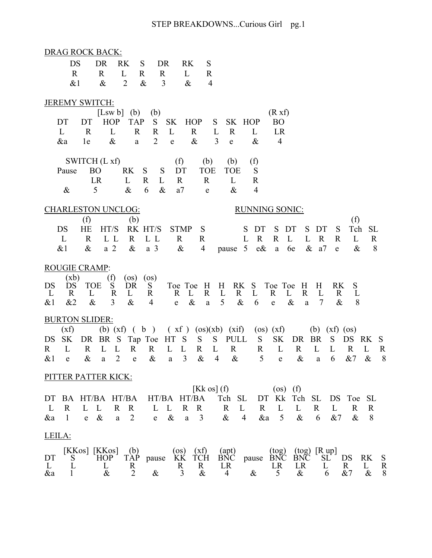| <b>DRAG ROCK BACK:</b>                                                                                                                                                                                                                                                                                                                                         |  |  |  |  |  |  |  |  |  |  |  |  |
|----------------------------------------------------------------------------------------------------------------------------------------------------------------------------------------------------------------------------------------------------------------------------------------------------------------------------------------------------------------|--|--|--|--|--|--|--|--|--|--|--|--|
| DS<br>DR<br><b>RK</b><br>S<br>DR<br>RK<br>S                                                                                                                                                                                                                                                                                                                    |  |  |  |  |  |  |  |  |  |  |  |  |
| L<br>$\mathbf R$<br>$\mathbf{R}$<br>$\mathbb{R}$<br>$\mathbf R$<br>$\mathbf R$<br>L<br>$\overline{2}$<br>$\&$<br>3<br>&1<br>$\&$<br>$\&$<br>$\overline{4}$                                                                                                                                                                                                     |  |  |  |  |  |  |  |  |  |  |  |  |
|                                                                                                                                                                                                                                                                                                                                                                |  |  |  |  |  |  |  |  |  |  |  |  |
| JEREMY SWITCH:                                                                                                                                                                                                                                                                                                                                                 |  |  |  |  |  |  |  |  |  |  |  |  |
| [Lsw b] $(b)$<br>(R xf)<br>(b)                                                                                                                                                                                                                                                                                                                                 |  |  |  |  |  |  |  |  |  |  |  |  |
| <b>HOP</b><br><b>SK</b><br>SK HOP<br>DT<br><b>TAP</b><br>S<br><b>HOP</b><br>S<br><b>BO</b><br>DT<br>$\mathbf R$<br>L<br>L<br>$\mathbf R$<br>L<br>$\mathbf R$<br>L<br>$\mathbf{R}$<br>$\mathbf{R}$<br>L<br>LR                                                                                                                                                   |  |  |  |  |  |  |  |  |  |  |  |  |
| $\overline{2}$<br>$\&$<br>$\overline{3}$<br>$\&$<br>$\overline{4}$<br>&a<br>1e<br>$\&$<br>$\mathbf e$<br>$\mathbf e$<br>$\mathbf{a}$                                                                                                                                                                                                                           |  |  |  |  |  |  |  |  |  |  |  |  |
|                                                                                                                                                                                                                                                                                                                                                                |  |  |  |  |  |  |  |  |  |  |  |  |
| SWITCH (L xf)<br>(f)<br>(f)<br>(b)<br>(b)                                                                                                                                                                                                                                                                                                                      |  |  |  |  |  |  |  |  |  |  |  |  |
| RK<br>DT<br><b>BO</b><br>S<br>S<br><b>TOE</b><br><b>TOE</b><br>S<br>Pause<br>$\mathbf R$<br>LR<br>L<br>L<br>L<br>$\mathbb{R}$<br>$\mathbf R$<br>$\mathbb{R}$                                                                                                                                                                                                   |  |  |  |  |  |  |  |  |  |  |  |  |
| 6<br>5<br>$\&$<br>$\&$<br>a <sub>7</sub><br>$\overline{4}$<br>$\&$<br>$\&$<br>e                                                                                                                                                                                                                                                                                |  |  |  |  |  |  |  |  |  |  |  |  |
| <b>RUNNING SONIC:</b><br><b>CHARLESTON UNCLOG:</b>                                                                                                                                                                                                                                                                                                             |  |  |  |  |  |  |  |  |  |  |  |  |
| (f)<br>(b)<br>(f)                                                                                                                                                                                                                                                                                                                                              |  |  |  |  |  |  |  |  |  |  |  |  |
| DS<br>HE<br>HT/S<br>RK HT/S<br><b>STMP</b><br>S<br>DT<br>S<br>Tch<br>S<br>DT<br>S<br>DT<br>S<br><b>SL</b>                                                                                                                                                                                                                                                      |  |  |  |  |  |  |  |  |  |  |  |  |
| $\mathbf R$<br>$\mathbf L$<br>L<br>$\mathbf R$<br>L L<br>$\mathbf R$<br>L<br>$\mathbf{R}$<br>$\mathbf{R}$<br>$\mathbf R$<br>L<br>L L<br>$\mathbb{R}$<br>R<br>L<br>$\mathbf R$                                                                                                                                                                                  |  |  |  |  |  |  |  |  |  |  |  |  |
| e&<br>8<br>$\&$<br>a <sub>2</sub><br>$\&$<br>$\&$<br>pause 5<br>6e<br>$\&$<br>a <sub>7</sub><br>$\&$<br>$&$ 1<br>a <sub>3</sub><br>$\overline{4}$<br>a<br>$\mathbf e$                                                                                                                                                                                          |  |  |  |  |  |  |  |  |  |  |  |  |
| <b>ROUGIE CRAMP:</b>                                                                                                                                                                                                                                                                                                                                           |  |  |  |  |  |  |  |  |  |  |  |  |
| (xb)<br>(f)<br>$($ os $)$<br>$($ os $)$<br><b>RK</b>                                                                                                                                                                                                                                                                                                           |  |  |  |  |  |  |  |  |  |  |  |  |
| `S<br>DR<br>Toe Toe<br>H<br>S<br>S<br>DS<br>DS<br>TOE<br>S<br>H<br>RK.<br>Toe Toe<br>H<br>H<br>$\mathbf R$<br>$\mathbf R$<br>L<br>$\mathbf{L}$<br>$\mathbf R$<br>L<br>$\mathbf{R}$<br>L<br>$\mathbf R$<br>L<br>$\mathbf R$<br>L<br>L<br>R<br>R<br>L<br>R<br>L                                                                                                  |  |  |  |  |  |  |  |  |  |  |  |  |
| 3<br>5<br>$\overline{7}$<br>$\&$<br>&2<br>$\&$<br>$\&$<br>$\&$<br>$\&$<br>$\&$<br>8<br>&1<br>6<br>$\overline{4}$<br>$\mathbf e$<br>$\rm{a}$<br>a<br>${\bf e}$                                                                                                                                                                                                  |  |  |  |  |  |  |  |  |  |  |  |  |
| <b>BURTON SLIDER:</b>                                                                                                                                                                                                                                                                                                                                          |  |  |  |  |  |  |  |  |  |  |  |  |
| (b) $(xf)$ (b)<br>$(xf)$ $(os)(xb)$ $(xif)$<br>(xf)<br>$(os)$ $(xf)$<br>$(xf)$ (os)<br>(b)                                                                                                                                                                                                                                                                     |  |  |  |  |  |  |  |  |  |  |  |  |
| DR BR S Tap Toe HT<br>PULL<br><b>SK</b><br><b>SK</b><br>S<br>S<br>S<br>S<br>DR<br><b>BR</b><br>S<br>DS<br>DS<br>RK<br>S                                                                                                                                                                                                                                        |  |  |  |  |  |  |  |  |  |  |  |  |
| $\mathbf{L}$<br>L<br>L<br>L<br>$\mathbf R$<br>$\mathbf R$<br>$\mathbf{L}$<br>$\mathbf{L}$<br>$\mathbf R$<br>$\mathbf R$<br>$\mathbf{L}$<br>$\mathbf R$<br>L<br>L<br>$\mathbf R$<br>$\mathbf{R}$<br>$\mathbf R$<br>$\mathbf R$<br>L<br>R<br>$\&$<br>$\overline{2}$<br>3<br>$\&$<br>$\overline{4}$<br>$\&$<br>5<br>&7<br>$\&$<br>8<br>$\&$<br>$\&$<br>6<br>$&$ 1 |  |  |  |  |  |  |  |  |  |  |  |  |
| $\mathbf e$<br>$\rm{a}$<br>${\bf e}$<br>$\rm{a}$<br>${\bf e}$<br>$\rm{a}$                                                                                                                                                                                                                                                                                      |  |  |  |  |  |  |  |  |  |  |  |  |
| PITTER PATTER KICK:                                                                                                                                                                                                                                                                                                                                            |  |  |  |  |  |  |  |  |  |  |  |  |
| $Kk$ os] (f)<br>$(os)$ (f)                                                                                                                                                                                                                                                                                                                                     |  |  |  |  |  |  |  |  |  |  |  |  |
| HT/BA HT/BA<br>Tch<br><b>SL</b><br>Kk<br>Tch<br>SL<br>BA<br>HT/BA<br>HT/BA<br>DT<br>DS<br>Toe SL<br>DT<br>$\mathbf R$<br>L<br>$\mathbf R$<br>$\mathbf R$<br>$\mathbf R$<br>L<br>$\mathbf R$<br>L<br>L<br>$\mathbf R$<br>$\mathbf R$<br>L<br>$\mathbf R$<br>$\mathbb{R}$<br>L<br>L<br>$\mathbf R$<br>L<br>L                                                     |  |  |  |  |  |  |  |  |  |  |  |  |
| $\&$<br>$\overline{2}$<br>$\&$<br>3<br>5<br>$\&$<br>&7<br>$\&$<br>8<br>$\mathbf{1}$<br>$\&$<br>$\overline{4}$<br>&a<br>6<br>&a<br>$\mathbf{a}$<br>$\mathbf{a}$<br>e<br>e                                                                                                                                                                                       |  |  |  |  |  |  |  |  |  |  |  |  |
|                                                                                                                                                                                                                                                                                                                                                                |  |  |  |  |  |  |  |  |  |  |  |  |
| LEILA:                                                                                                                                                                                                                                                                                                                                                         |  |  |  |  |  |  |  |  |  |  |  |  |
| [R up]<br>[KKos] [KKos]<br>(b)<br>(apt)<br>BNC<br>(os)<br>KK<br>(xf)<br>(tog)<br>BNC<br>(tog)<br>TCH<br>DT<br>TÀP<br>DS<br><b>RK</b><br>S<br>HOP<br>BNC<br><b>SL</b><br>pause<br>S<br>pause                                                                                                                                                                    |  |  |  |  |  |  |  |  |  |  |  |  |
| R<br>$\frac{R}{8}$<br>L<br>$\frac{R}{2}$<br>R<br>LR<br>LR<br>LR<br>R<br>L<br>L<br>L<br>$\overline{3}$<br>$\&$<br>$\&$<br>$\&$<br>$\&$<br>&a<br>$\overline{4}$<br>5<br>$\&$<br>&7<br>$\&$<br>6<br>1                                                                                                                                                             |  |  |  |  |  |  |  |  |  |  |  |  |
|                                                                                                                                                                                                                                                                                                                                                                |  |  |  |  |  |  |  |  |  |  |  |  |